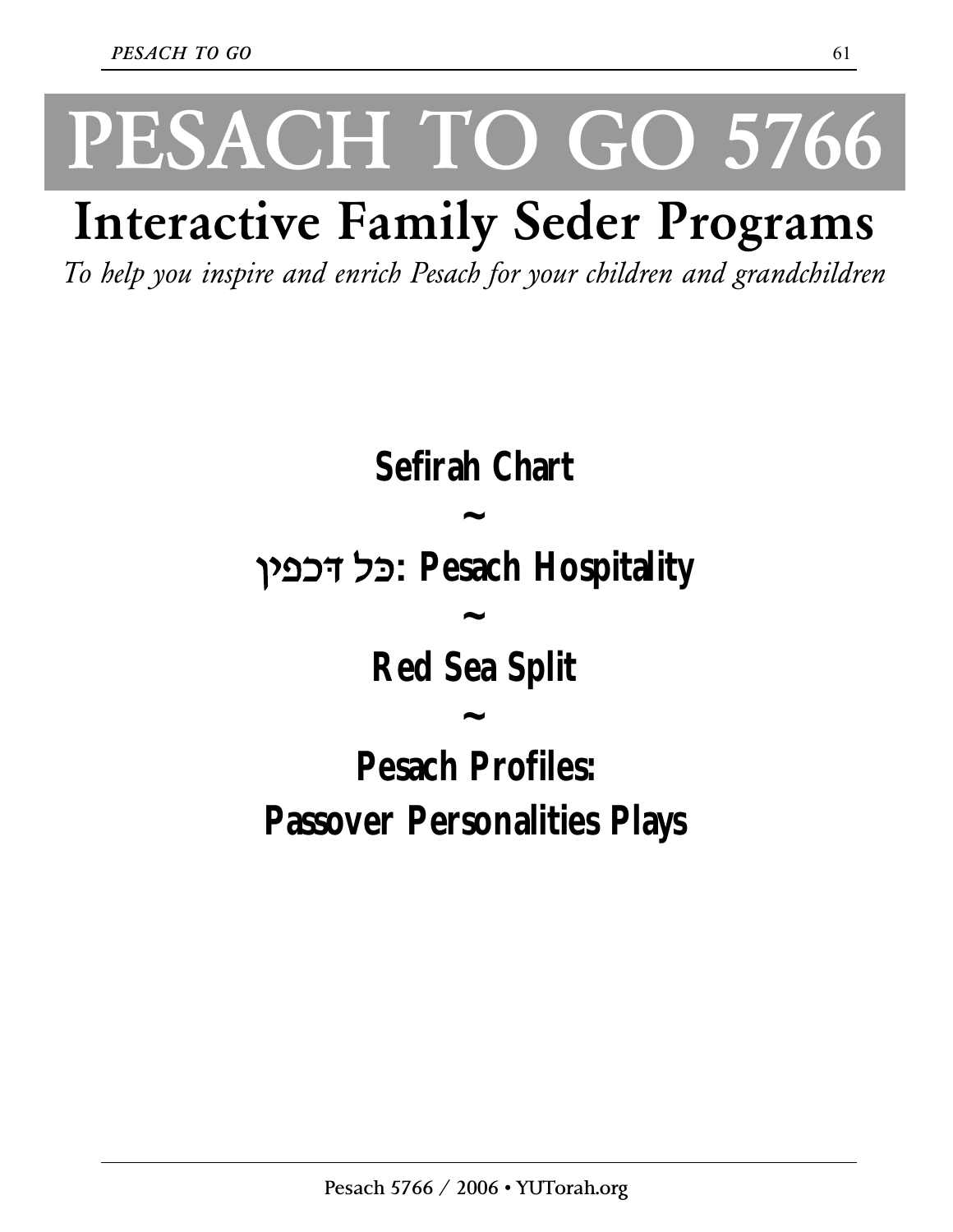# **PESACH TO GO 5766**

### **Interactive Family Seder Programs**

*To help you inspire and enrich Pesach for your children and grandchildren*

**Sefirah Chart ~ Hospitality Pesach :כּל דּכפין ~ Red Sea Split ~ Pesach Profiles: Passover Personalities Plays**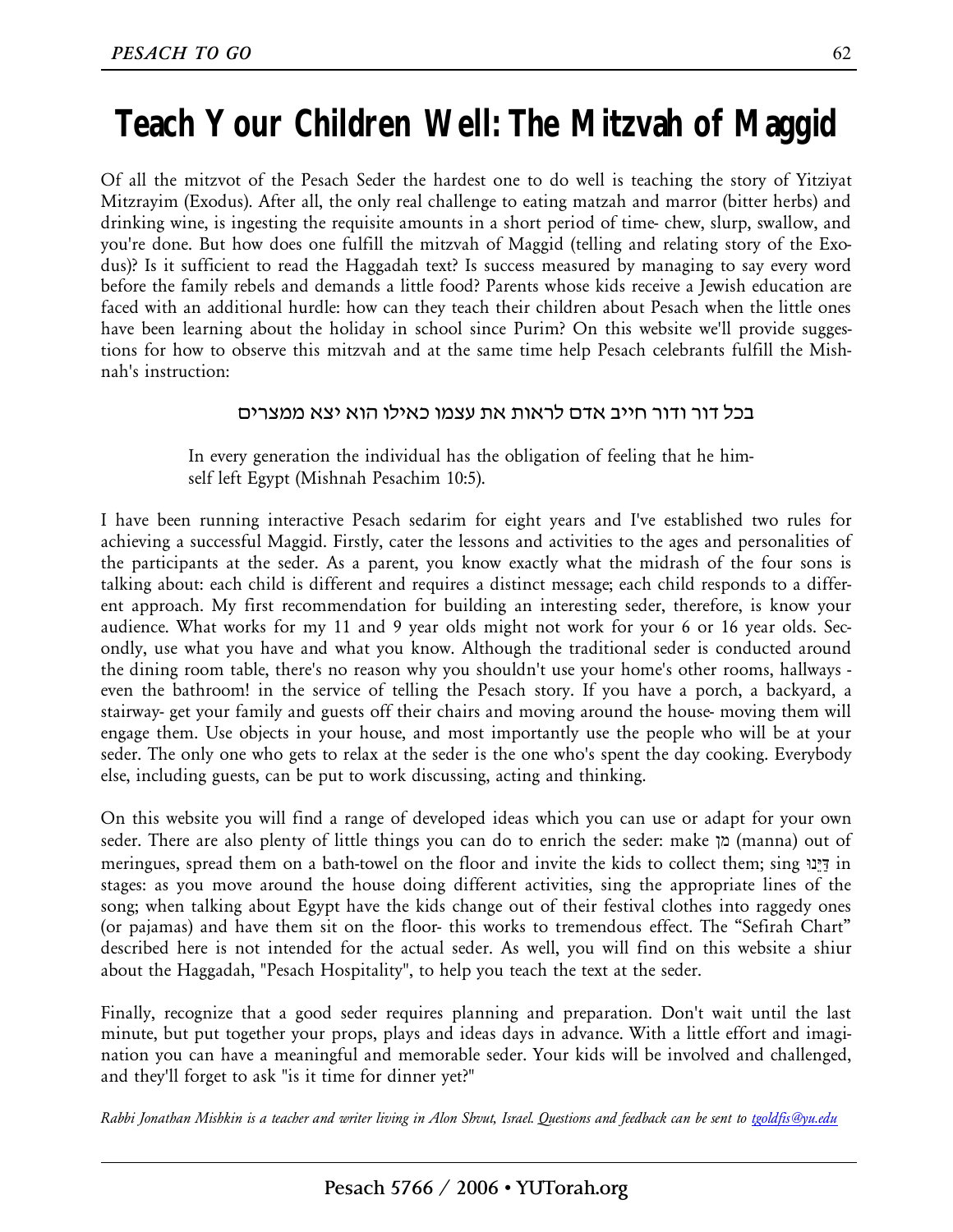#### **Teach Your Children Well: The Mitzvah of Maggid**

Of all the mitzvot of the Pesach Seder the hardest one to do well is teaching the story of Yitziyat Mitzrayim (Exodus). After all, the only real challenge to eating matzah and marror (bitter herbs) and drinking wine, is ingesting the requisite amounts in a short period of time- chew, slurp, swallow, and you're done. But how does one fulfill the mitzvah of Maggid (telling and relating story of the Exodus)? Is it sufficient to read the Haggadah text? Is success measured by managing to say every word before the family rebels and demands a little food? Parents whose kids receive a Jewish education are faced with an additional hurdle: how can they teach their children about Pesach when the little ones have been learning about the holiday in school since Purim? On this website we'll provide suggestions for how to observe this mitzvah and at the same time help Pesach celebrants fulfill the Mishnah's instruction:

#### בכל דור ודור חייב אדם לראות את עצמו כאילו הוא יצא ממצרים

In every generation the individual has the obligation of feeling that he himself left Egypt (Mishnah Pesachim 10:5).

I have been running interactive Pesach sedarim for eight years and I've established two rules for achieving a successful Maggid. Firstly, cater the lessons and activities to the ages and personalities of the participants at the seder. As a parent, you know exactly what the midrash of the four sons is talking about: each child is different and requires a distinct message; each child responds to a different approach. My first recommendation for building an interesting seder, therefore, is know your audience. What works for my 11 and 9 year olds might not work for your 6 or 16 year olds. Secondly, use what you have and what you know. Although the traditional seder is conducted around the dining room table, there's no reason why you shouldn't use your home's other rooms, hallways even the bathroom! in the service of telling the Pesach story. If you have a porch, a backyard, a stairway- get your family and guests off their chairs and moving around the house- moving them will engage them. Use objects in your house, and most importantly use the people who will be at your seder. The only one who gets to relax at the seder is the one who's spent the day cooking. Everybody else, including guests, can be put to work discussing, acting and thinking.

On this website you will find a range of developed ideas which you can use or adapt for your own seder. There are also plenty of little things you can do to enrich the seder: make מן) manna) out of meringues, spread them on a bath-towel on the floor and invite the kids to collect them; sing נוֵּיַּדּ in stages: as you move around the house doing different activities, sing the appropriate lines of the song; when talking about Egypt have the kids change out of their festival clothes into raggedy ones (or pajamas) and have them sit on the floor- this works to tremendous effect. The "Sefirah Chart" described here is not intended for the actual seder. As well, you will find on this website a shiur about the Haggadah, "Pesach Hospitality", to help you teach the text at the seder.

Finally, recognize that a good seder requires planning and preparation. Don't wait until the last minute, but put together your props, plays and ideas days in advance. With a little effort and imagination you can have a meaningful and memorable seder. Your kids will be involved and challenged, and they'll forget to ask "is it time for dinner yet?"

Rabbi Jonathan Mishkin is a teacher and writer living in Alon Shvut, Israel. Questions and feedback can be sent to tgoldfis@yu.edu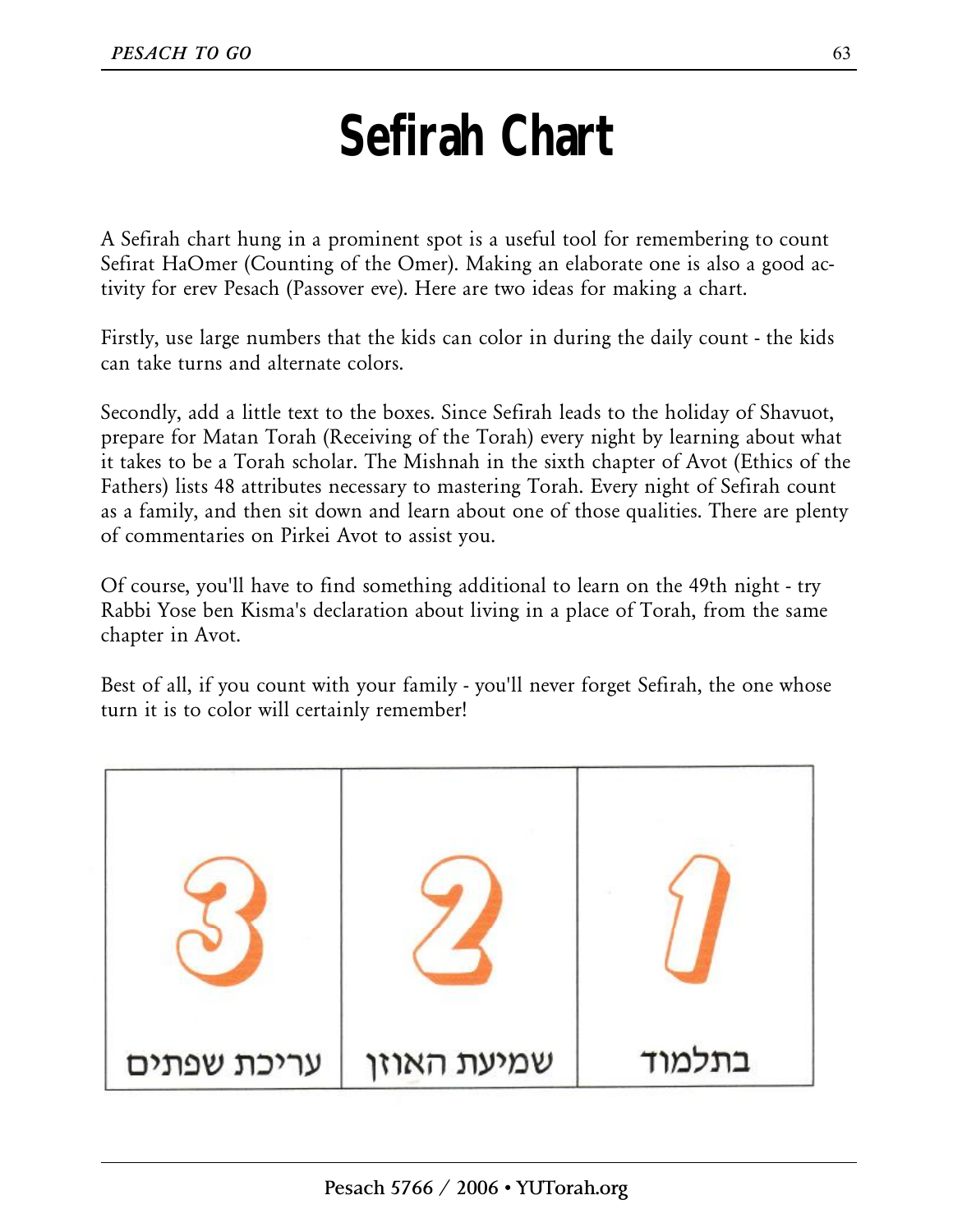#### **Sefirah Chart**

A Sefirah chart hung in a prominent spot is a useful tool for remembering to count Sefirat HaOmer (Counting of the Omer). Making an elaborate one is also a good activity for erev Pesach (Passover eve). Here are two ideas for making a chart.

Firstly, use large numbers that the kids can color in during the daily count - the kids can take turns and alternate colors.

Secondly, add a little text to the boxes. Since Sefirah leads to the holiday of Shavuot, prepare for Matan Torah (Receiving of the Torah) every night by learning about what it takes to be a Torah scholar. The Mishnah in the sixth chapter of Avot (Ethics of the Fathers) lists 48 attributes necessary to mastering Torah. Every night of Sefirah count as a family, and then sit down and learn about one of those qualities. There are plenty of commentaries on Pirkei Avot to assist you.

Of course, you'll have to find something additional to learn on the 49th night - try Rabbi Yose ben Kisma's declaration about living in a place of Torah, from the same chapter in Avot.

Best of all, if you count with your family - you'll never forget Sefirah, the one whose turn it is to color will certainly remember!

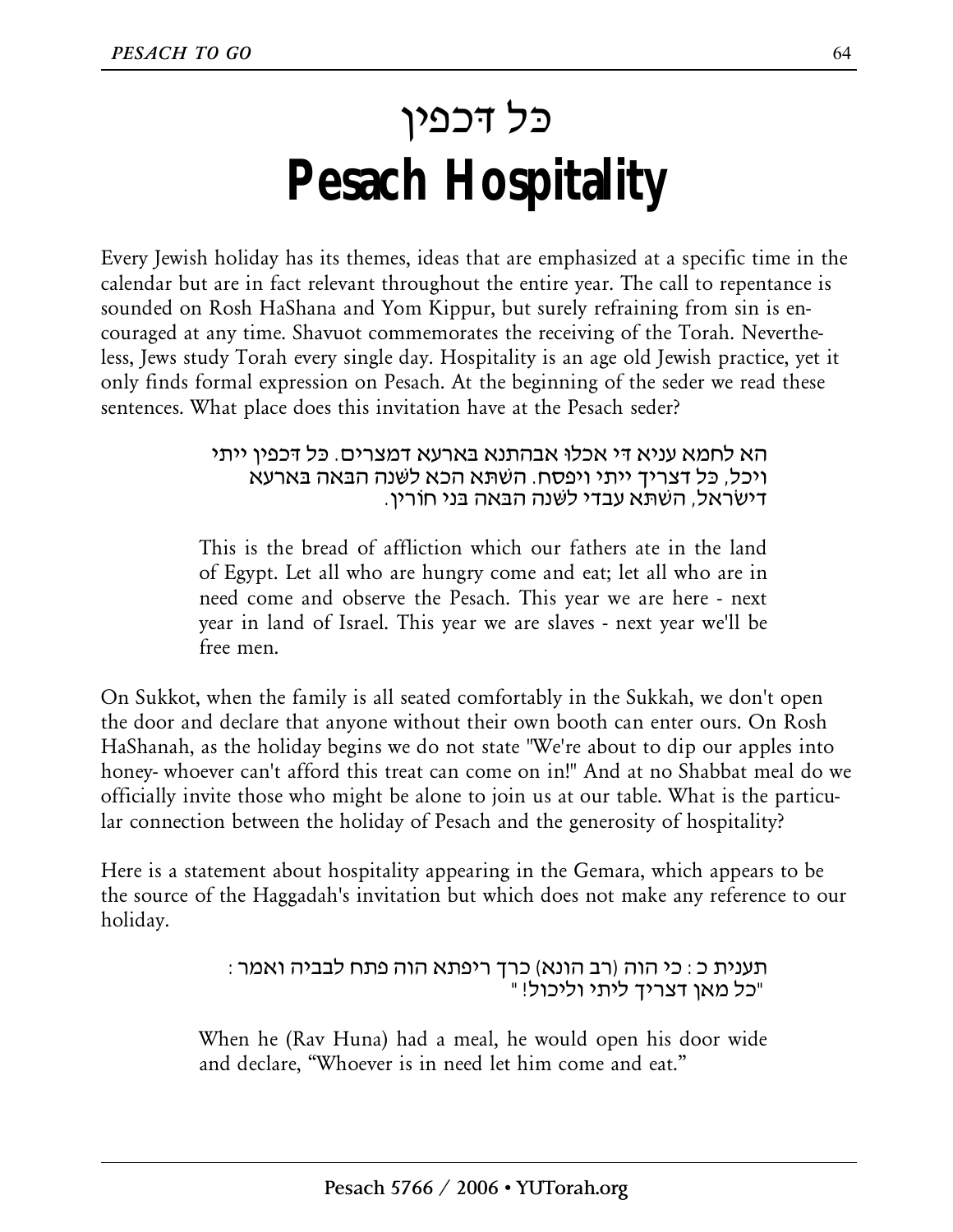### כּל דּכפין **Pesach Hospitality**

Every Jewish holiday has its themes, ideas that are emphasized at a specific time in the calendar but are in fact relevant throughout the entire year. The call to repentance is sounded on Rosh HaShana and Yom Kippur, but surely refraining from sin is encouraged at any time. Shavuot commemorates the receiving of the Torah. Nevertheless, Jews study Torah every single day. Hospitality is an age old Jewish practice, yet it only finds formal expression on Pesach. At the beginning of the seder we read these sentences. What place does this invitation have at the Pesach seder?

> הא לחמא עניא דּי אכלוּ אבהתנא בּאַרעא דמצרים. כּל דּכפין ייתי ויכל, כּל דצריך ייתי ויפסח. השׁתּא הכא לשּׁנה הבּאָה בּאַרעא דישׂראל, השׁתּא עבדי לשּׁנה הבּאָה בּני חוֹרין.

This is the bread of affliction which our fathers ate in the land of Egypt. Let all who are hungry come and eat; let all who are in need come and observe the Pesach. This year we are here - next year in land of Israel. This year we are slaves - next year we'll be free men.

On Sukkot, when the family is all seated comfortably in the Sukkah, we don't open the door and declare that anyone without their own booth can enter ours. On Rosh HaShanah, as the holiday begins we do not state "We're about to dip our apples into honey- whoever can't afford this treat can come on in!" And at no Shabbat meal do we officially invite those who might be alone to join us at our table. What is the particular connection between the holiday of Pesach and the generosity of hospitality?

Here is a statement about hospitality appearing in the Gemara, which appears to be the source of the Haggadah's invitation but which does not make any reference to our holiday.

> תענית כ: כי הוה (רב הונא) כרך ריפתא הוה פתח לבביה ואמר: "כל מאן דצריך ליתי וליכול!"

When he (Rav Huna) had a meal, he would open his door wide and declare, "Whoever is in need let him come and eat."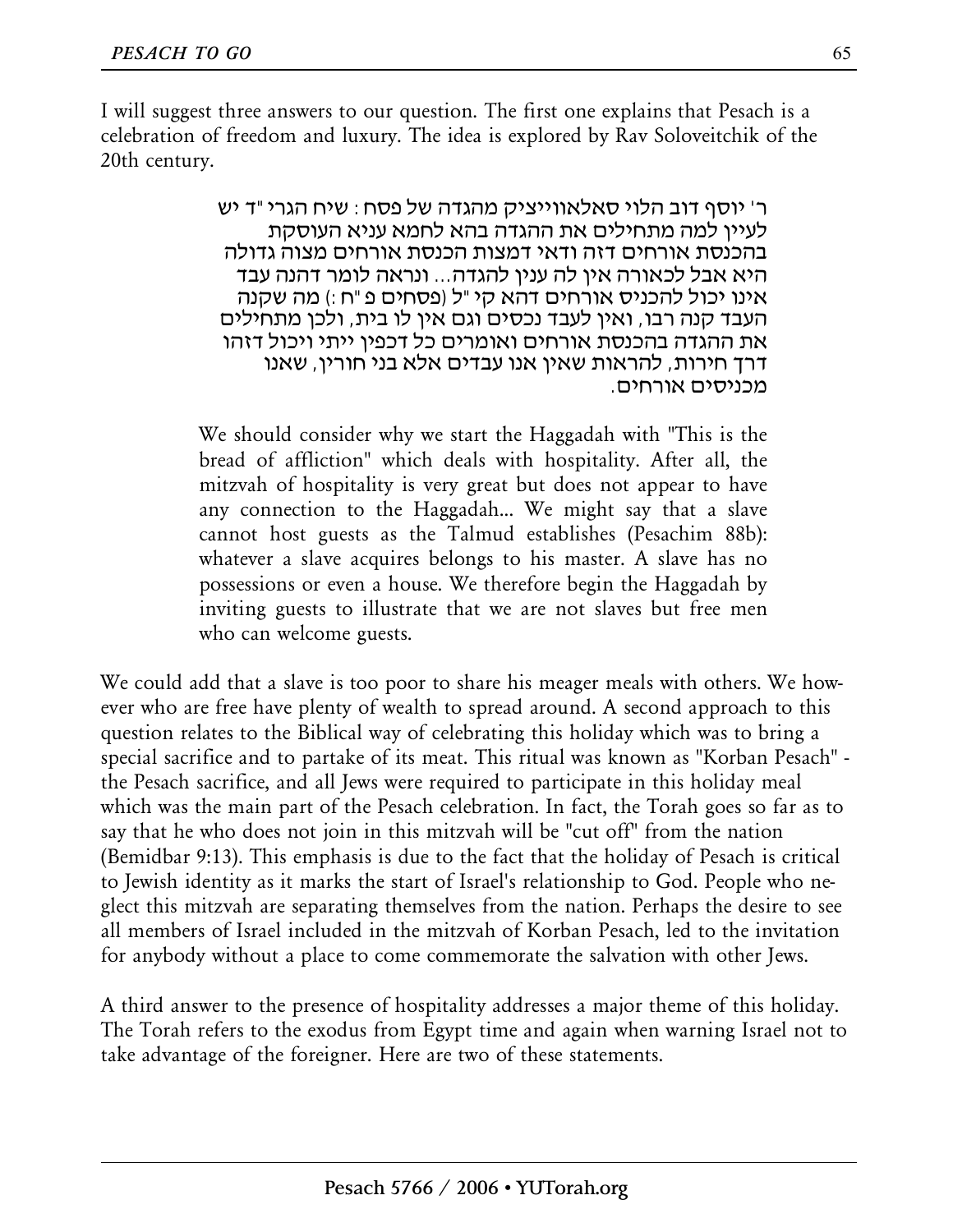I will suggest three answers to our question. The first one explains that Pesach is a celebration of freedom and luxury. The idea is explored by Rav Soloveitchik of the 20th century.

> ר' יוסף דוב הלוי סאלאווייציק מהגדה של פסח: שיח הגרי"ד יש לעיין למה מתחילים את ההגדה בהא לחמא עניא העוסקת בהכנסת אורחים דזה ודאי דמצות הכנסת אורחים מצוה גדולה היא אבל לכאורה אין לה ענין להגדה... ונראה לומר דהנה עבד אינו יכול להכניס אורחים דהא קי"ל (פסחים פ"ח:) מה שקנה העבד קנה רבו, ואין לעבד נכסים וגם אין לו בית, ולכן מתחילים את ההגדה בהכנסת אורחים ואומרים כל דכפין ייתי ויכול דזהו דרך חירות, להראות שאין אנו עבדים אלא בני חורין, שאנו מכניסים אורחים.

We should consider why we start the Haggadah with "This is the bread of affliction" which deals with hospitality. After all, the mitzvah of hospitality is very great but does not appear to have any connection to the Haggadah... We might say that a slave cannot host guests as the Talmud establishes (Pesachim 88b): whatever a slave acquires belongs to his master. A slave has no possessions or even a house. We therefore begin the Haggadah by inviting guests to illustrate that we are not slaves but free men who can welcome guests.

We could add that a slave is too poor to share his meager meals with others. We however who are free have plenty of wealth to spread around. A second approach to this question relates to the Biblical way of celebrating this holiday which was to bring a special sacrifice and to partake of its meat. This ritual was known as "Korban Pesach" the Pesach sacrifice, and all Jews were required to participate in this holiday meal which was the main part of the Pesach celebration. In fact, the Torah goes so far as to say that he who does not join in this mitzvah will be "cut off" from the nation (Bemidbar 9:13). This emphasis is due to the fact that the holiday of Pesach is critical to Jewish identity as it marks the start of Israel's relationship to God. People who neglect this mitzvah are separating themselves from the nation. Perhaps the desire to see all members of Israel included in the mitzvah of Korban Pesach, led to the invitation for anybody without a place to come commemorate the salvation with other Jews.

A third answer to the presence of hospitality addresses a major theme of this holiday. The Torah refers to the exodus from Egypt time and again when warning Israel not to take advantage of the foreigner. Here are two of these statements.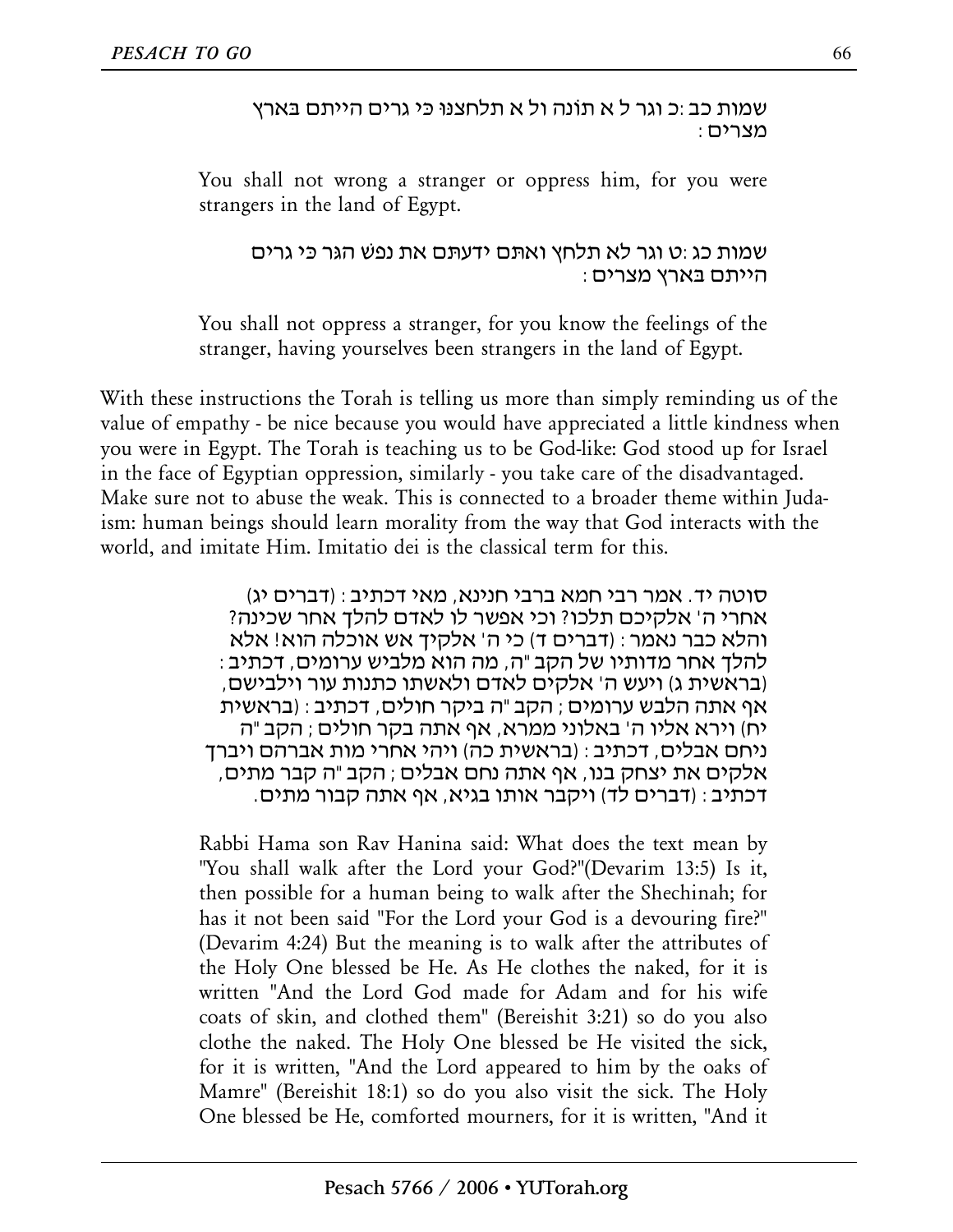שמות כב:כ וגר ל א תוֹנה ול א תלחצנּוּ כּי גרים הייתם בּארץ מצרים:

You shall not wrong a stranger or oppress him, for you were strangers in the land of Egypt.

שמות כג:ט וגר לא תלחץ ואַתּם ידעתּם את נפשׁ הגּר כּי גרים הייתם בּארץ מצרים:

You shall not oppress a stranger, for you know the feelings of the stranger, having yourselves been strangers in the land of Egypt.

With these instructions the Torah is telling us more than simply reminding us of the value of empathy - be nice because you would have appreciated a little kindness when you were in Egypt. The Torah is teaching us to be God-like: God stood up for Israel in the face of Egyptian oppression, similarly - you take care of the disadvantaged. Make sure not to abuse the weak. This is connected to a broader theme within Judaism: human beings should learn morality from the way that God interacts with the world, and imitate Him. Imitatio dei is the classical term for this.

> סוטה יד. אמר רבי חמא ברבי חנינא, מאי דכתיב: (דברים יג) אחרי ה' אלקיכם תלכו? וכי אפשר לו לאדם להלך אחר שכינה? והלא כבר נאמר: (דברים ד) כי ה' אלקיך אש אוכלה הוא! אלא להלך אחר מדותיו של הקב"ה, מה הוא מלביש ערומים, דכתיב: (בראשית ג) ויעש ה' אלקים לאדם ולאשתו כתנות עור וילבישם, אף אתה הלבש ערומים; הקב"ה ביקר חולים, דכתיב: (בראשית יח) וירא אליו ה' באלוני ממרא, אף אתה בקר חולים; הקב"ה ניחם אבלים, דכתיב: (בראשית כה) ויהי אחרי מות אברהם ויברך אלקים את יצחק בנו, אף אתה נחם אבלים; הקב"ה קבר מתים, דכתיב: (דברים לד) ויקבר אותו בגיא, אף אתה קבור מתים.

Rabbi Hama son Rav Hanina said: What does the text mean by "You shall walk after the Lord your God?"(Devarim 13:5) Is it, then possible for a human being to walk after the Shechinah; for has it not been said "For the Lord your God is a devouring fire?" (Devarim 4:24) But the meaning is to walk after the attributes of the Holy One blessed be He. As He clothes the naked, for it is written "And the Lord God made for Adam and for his wife coats of skin, and clothed them" (Bereishit 3:21) so do you also clothe the naked. The Holy One blessed be He visited the sick, for it is written, "And the Lord appeared to him by the oaks of Mamre" (Bereishit 18:1) so do you also visit the sick. The Holy One blessed be He, comforted mourners, for it is written, "And it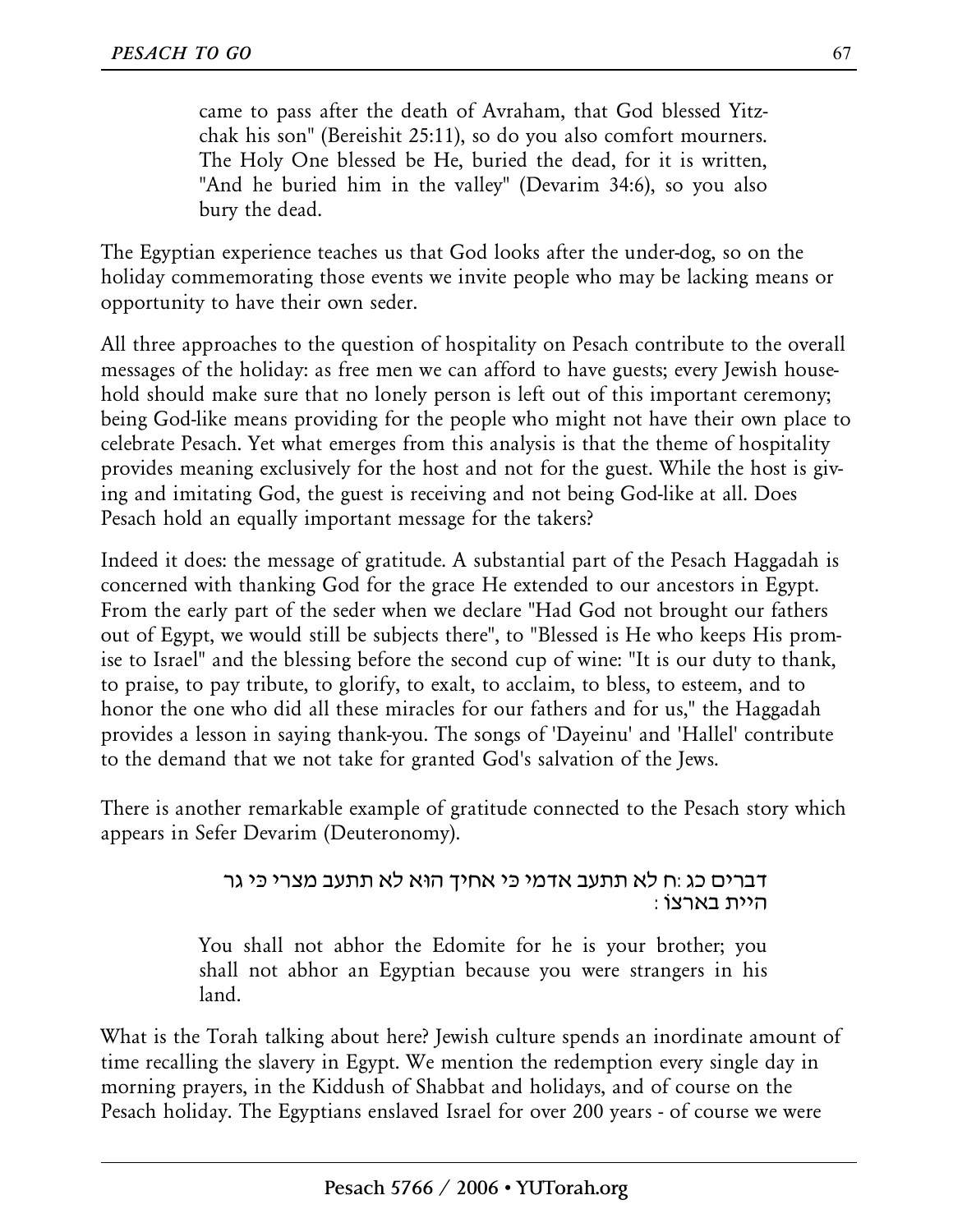came to pass after the death of Avraham, that God blessed Yitzchak his son" (Bereishit 25:11), so do you also comfort mourners. The Holy One blessed be He, buried the dead, for it is written, "And he buried him in the valley" (Devarim 34:6), so you also

bury the dead.

The Egyptian experience teaches us that God looks after the under-dog, so on the holiday commemorating those events we invite people who may be lacking means or opportunity to have their own seder.

All three approaches to the question of hospitality on Pesach contribute to the overall messages of the holiday: as free men we can afford to have guests; every Jewish household should make sure that no lonely person is left out of this important ceremony; being God-like means providing for the people who might not have their own place to celebrate Pesach. Yet what emerges from this analysis is that the theme of hospitality provides meaning exclusively for the host and not for the guest. While the host is giving and imitating God, the guest is receiving and not being God-like at all. Does Pesach hold an equally important message for the takers?

Indeed it does: the message of gratitude. A substantial part of the Pesach Haggadah is concerned with thanking God for the grace He extended to our ancestors in Egypt. From the early part of the seder when we declare "Had God not brought our fathers out of Egypt, we would still be subjects there", to "Blessed is He who keeps His promise to Israel" and the blessing before the second cup of wine: "It is our duty to thank, to praise, to pay tribute, to glorify, to exalt, to acclaim, to bless, to esteem, and to honor the one who did all these miracles for our fathers and for us," the Haggadah provides a lesson in saying thank-you. The songs of 'Dayeinu' and 'Hallel' contribute to the demand that we not take for granted God's salvation of the Jews.

There is another remarkable example of gratitude connected to the Pesach story which appears in Sefer Devarim (Deuteronomy).

#### דברים כג:ח לא תתעב אדמי כּי אָחיך הוּא לא תתעב מצרי כּי גר היית באַרצוֹ:

You shall not abhor the Edomite for he is your brother; you shall not abhor an Egyptian because you were strangers in his land.

What is the Torah talking about here? Jewish culture spends an inordinate amount of time recalling the slavery in Egypt. We mention the redemption every single day in morning prayers, in the Kiddush of Shabbat and holidays, and of course on the Pesach holiday. The Egyptians enslaved Israel for over 200 years - of course we were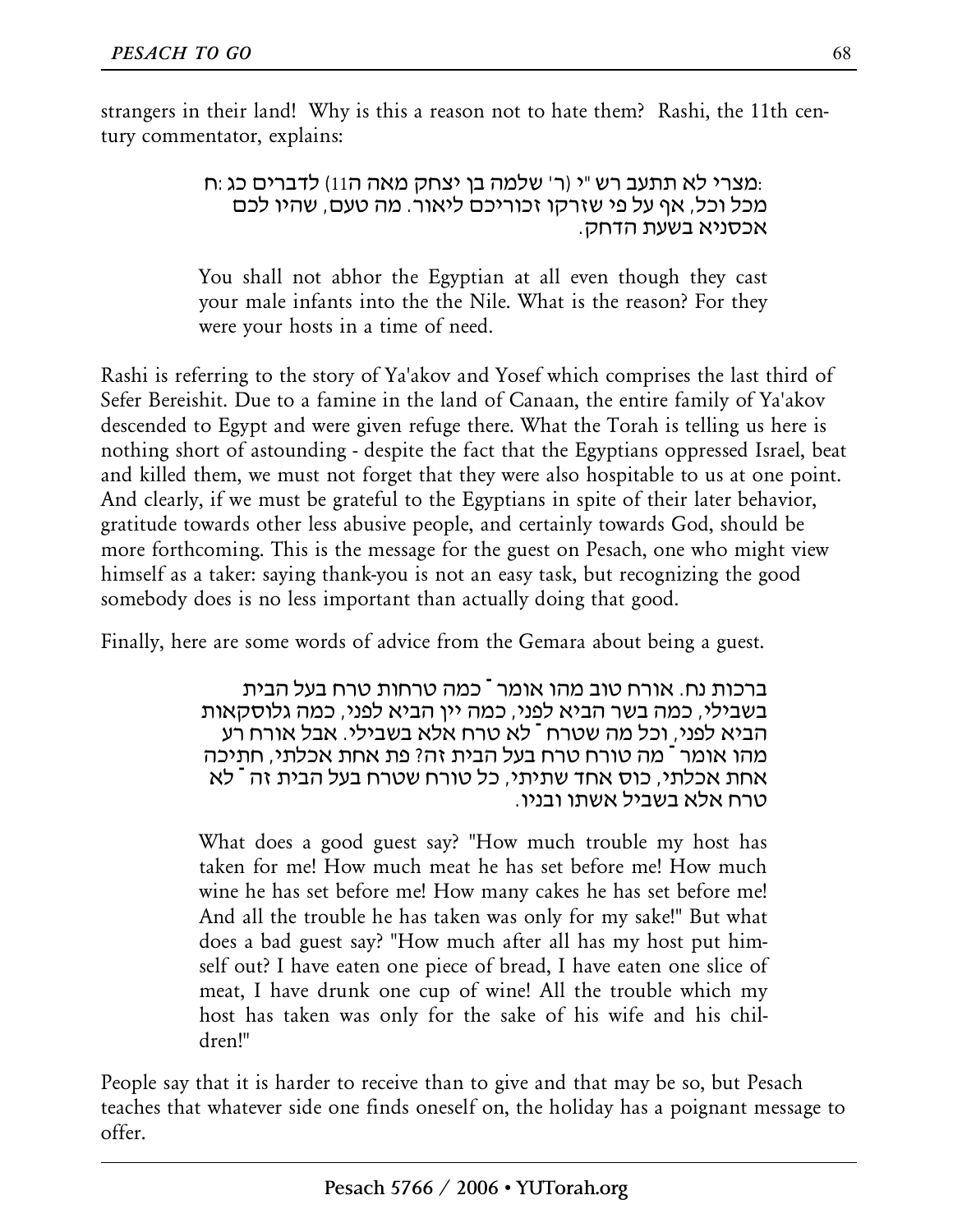strangers in their land! Why is this a reason not to hate them? Rashi, the 11th century commentator, explains:

> :מצרי לא תתעב רש"י (ר' שלמה בן יצחק מאה ה11) לדברים כג:ח מכל וכל, אף על פי שזרקו זכוריכם ליאור. מה טעם, שהיו לכם אכסניא בשעת הדחק.

You shall not abhor the Egyptian at all even though they cast your male infants into the the Nile. What is the reason? For they were your hosts in a time of need.

Rashi is referring to the story of Ya'akov and Yosef which comprises the last third of Sefer Bereishit. Due to a famine in the land of Canaan, the entire family of Ya'akov descended to Egypt and were given refuge there. What the Torah is telling us here is nothing short of astounding - despite the fact that the Egyptians oppressed Israel, beat and killed them, we must not forget that they were also hospitable to us at one point. And clearly, if we must be grateful to the Egyptians in spite of their later behavior, gratitude towards other less abusive people, and certainly towards God, should be more forthcoming. This is the message for the guest on Pesach, one who might view himself as a taker: saying thank-you is not an easy task, but recognizing the good somebody does is no less important than actually doing that good.

Finally, here are some words of advice from the Gemara about being a guest.

ברכות נח. אורח טוב מהו אומר ־ כמה טרחות טרח בעל הבית בשבילי, כמה בשר הביא לפני, כמה יין הביא לפני, כמה גלוסקאות הביא לפני, וכל מה שטרח ־ לא טרח אלא בשבילי. אבל אורח רע מהו אומר ־ מה טורח טרח בעל הבית זה? פת אחת אכלתי, חתיכה אחת אכלתי, כוס אחד שתיתי, כל טורח שטרח בעל הבית זה ־ לא טרח אלא בשביל אשתו ובניו.

What does a good guest say? "How much trouble my host has taken for me! How much meat he has set before me! How much wine he has set before me! How many cakes he has set before me! And all the trouble he has taken was only for my sake!" But what does a bad guest say? "How much after all has my host put himself out? I have eaten one piece of bread, I have eaten one slice of meat, I have drunk one cup of wine! All the trouble which my host has taken was only for the sake of his wife and his children!"

People say that it is harder to receive than to give and that may be so, but Pesach teaches that whatever side one finds oneself on, the holiday has a poignant message to offer.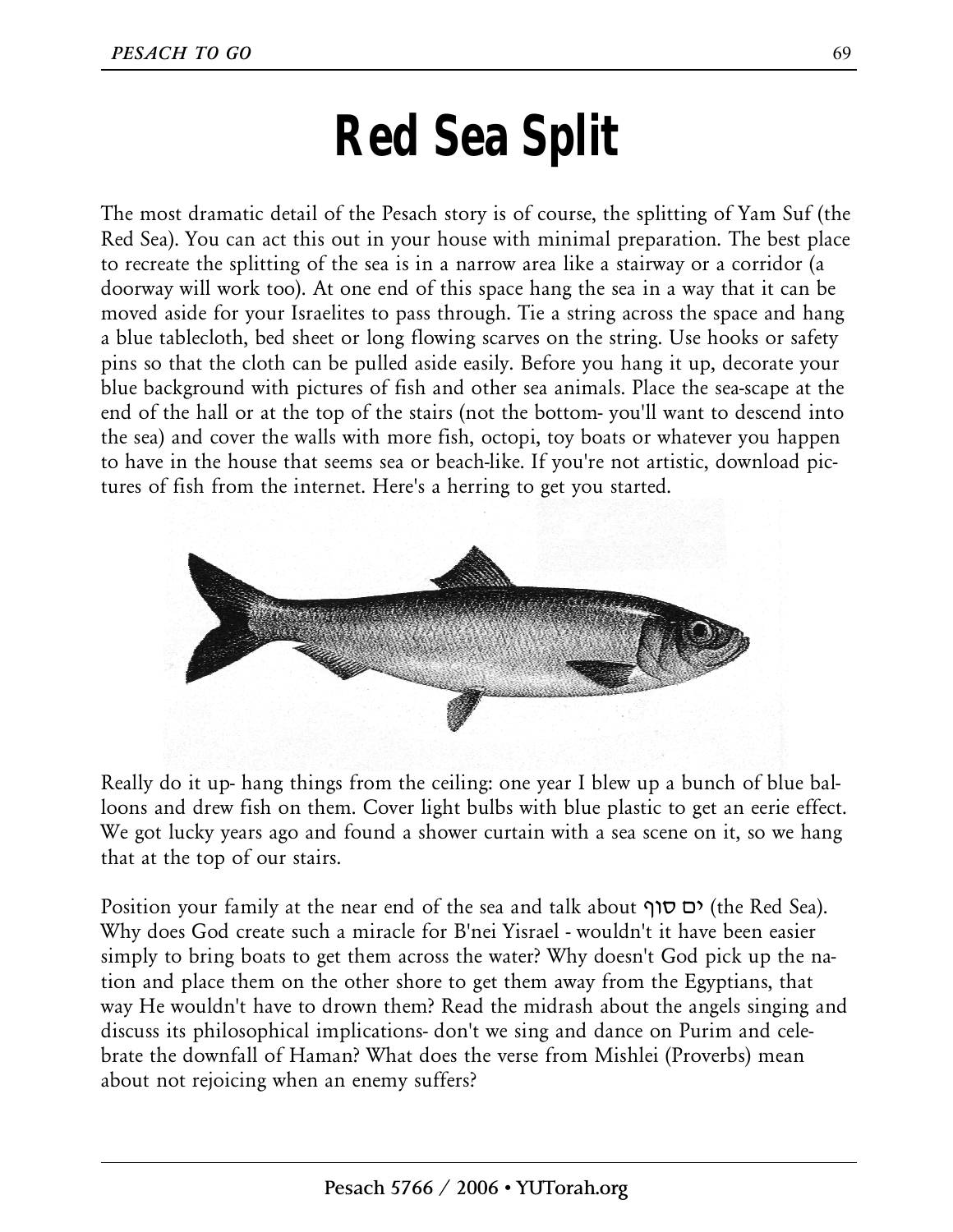### **Red Sea Split**

The most dramatic detail of the Pesach story is of course, the splitting of Yam Suf (the Red Sea). You can act this out in your house with minimal preparation. The best place to recreate the splitting of the sea is in a narrow area like a stairway or a corridor (a doorway will work too). At one end of this space hang the sea in a way that it can be moved aside for your Israelites to pass through. Tie a string across the space and hang a blue tablecloth, bed sheet or long flowing scarves on the string. Use hooks or safety pins so that the cloth can be pulled aside easily. Before you hang it up, decorate your blue background with pictures of fish and other sea animals. Place the sea-scape at the end of the hall or at the top of the stairs (not the bottom- you'll want to descend into the sea) and cover the walls with more fish, octopi, toy boats or whatever you happen to have in the house that seems sea or beach-like. If you're not artistic, download pictures of fish from the internet. Here's a herring to get you started.



Really do it up- hang things from the ceiling: one year I blew up a bunch of blue balloons and drew fish on them. Cover light bulbs with blue plastic to get an eerie effect. We got lucky years ago and found a shower curtain with a sea scene on it, so we hang that at the top of our stairs.

Position your family at the near end of the sea and talk about  $\sigma$ ס סוף) (the Red Sea). Why does God create such a miracle for B'nei Yisrael - wouldn't it have been easier simply to bring boats to get them across the water? Why doesn't God pick up the nation and place them on the other shore to get them away from the Egyptians, that way He wouldn't have to drown them? Read the midrash about the angels singing and discuss its philosophical implications- don't we sing and dance on Purim and celebrate the downfall of Haman? What does the verse from Mishlei (Proverbs) mean about not rejoicing when an enemy suffers?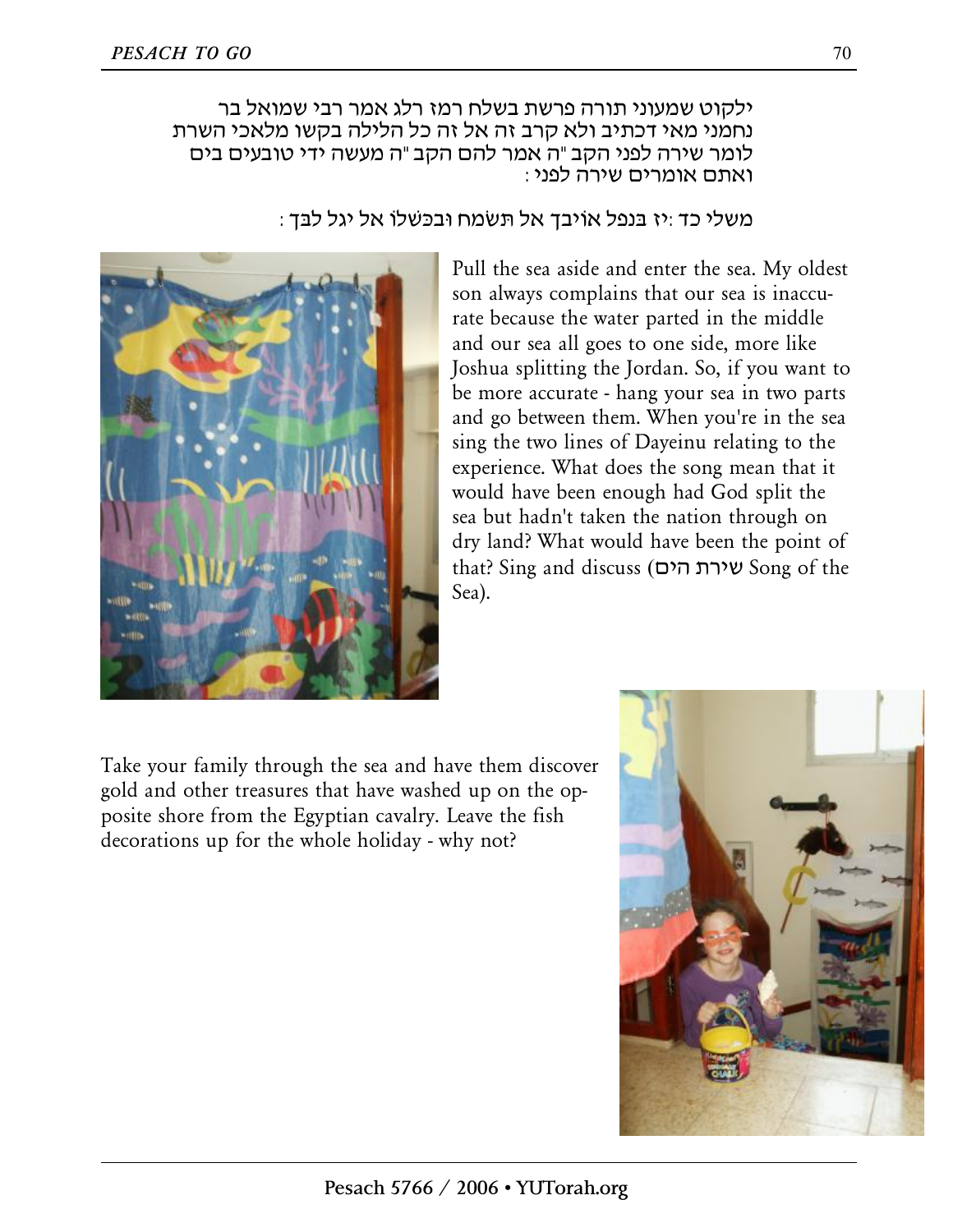ילקוט שמעוני תורה פרשת בשלח רמז רלג אמר רבי שמואל בר נחמני מאי דכתיב ולא קרב זה אל זה כל הלילה בקשו מלאכי השרת לומר שירה לפני הקב"ה אמר להם הקב"ה מעשה ידי טובעים בים ואתם אומרים שירה לפני:

 $\,$ : משלי כד $\,$ יז בּנפל אוֹיבך אל תּשׂמח וּבכּשׁלוֹ אל יגל לבּך



Pull the sea aside and enter the sea. My oldest son always complains that our sea is inaccurate because the water parted in the middle and our sea all goes to one side, more like Joshua splitting the Jordan. So, if you want to be more accurate - hang your sea in two parts and go between them. When you're in the sea sing the two lines of Dayeinu relating to the experience. What does the song mean that it would have been enough had God split the sea but hadn't taken the nation through on dry land? What would have been the point of that? Sing and discuss (הים שירת Song of the Sea).

Take your family through the sea and have them discover gold and other treasures that have washed up on the opposite shore from the Egyptian cavalry. Leave the fish decorations up for the whole holiday - why not?

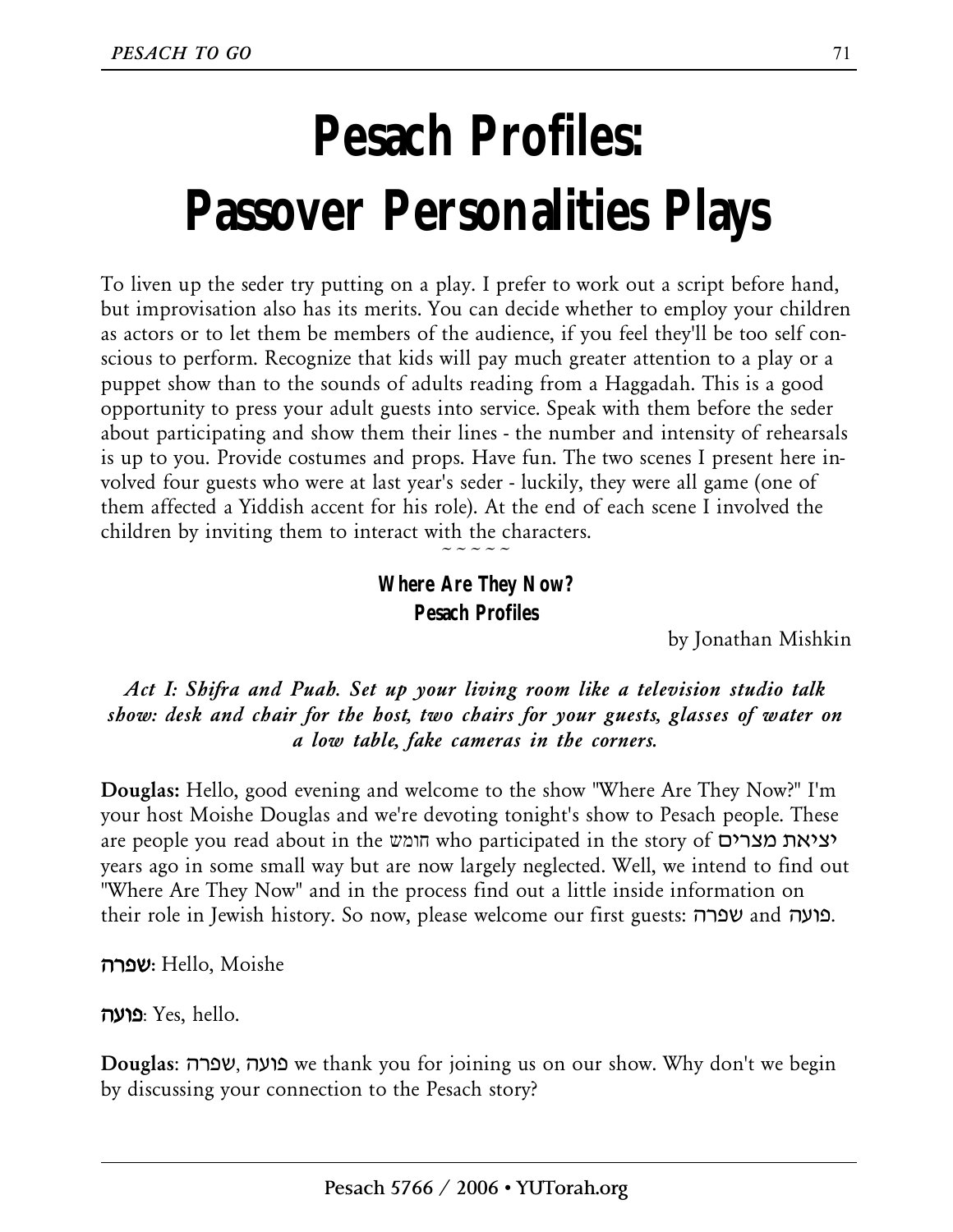## **Pesach Profiles: Passover Personalities Plays**

To liven up the seder try putting on a play. I prefer to work out a script before hand, but improvisation also has its merits. You can decide whether to employ your children as actors or to let them be members of the audience, if you feel they'll be too self conscious to perform. Recognize that kids will pay much greater attention to a play or a puppet show than to the sounds of adults reading from a Haggadah. This is a good opportunity to press your adult guests into service. Speak with them before the seder about participating and show them their lines - the number and intensity of rehearsals is up to you. Provide costumes and props. Have fun. The two scenes I present here involved four guests who were at last year's seder - luckily, they were all game (one of them affected a Yiddish accent for his role). At the end of each scene I involved the children by inviting them to interact with the characters.

> **Where Are They Now? Pesach Profiles**

 $\sim$   $\sim$   $\sim$   $\sim$ 

by Jonathan Mishkin

*Act I: Shifra and Puah. Set up your living room like a television studio talk show: desk and chair for the host, two chairs for your guests, glasses of water on a low table, fake cameras in the corners.* 

**Douglas:** Hello, good evening and welcome to the show "Where Are They Now?" I'm your host Moishe Douglas and we're devoting tonight's show to Pesach people. These are people you read about in the חומש who participated in the story of מצרים יציאת years ago in some small way but are now largely neglected. Well, we intend to find out "Where Are They Now" and in the process find out a little inside information on their role in Jewish history. So now, please welcome our first guests: שפרה and פועה.

**שפרה:** Hello, Moishe

**פועה**: Yes, hello.

**Douglas**: שפרה, פועה we thank you for joining us on our show. Why don't we begin by discussing your connection to the Pesach story?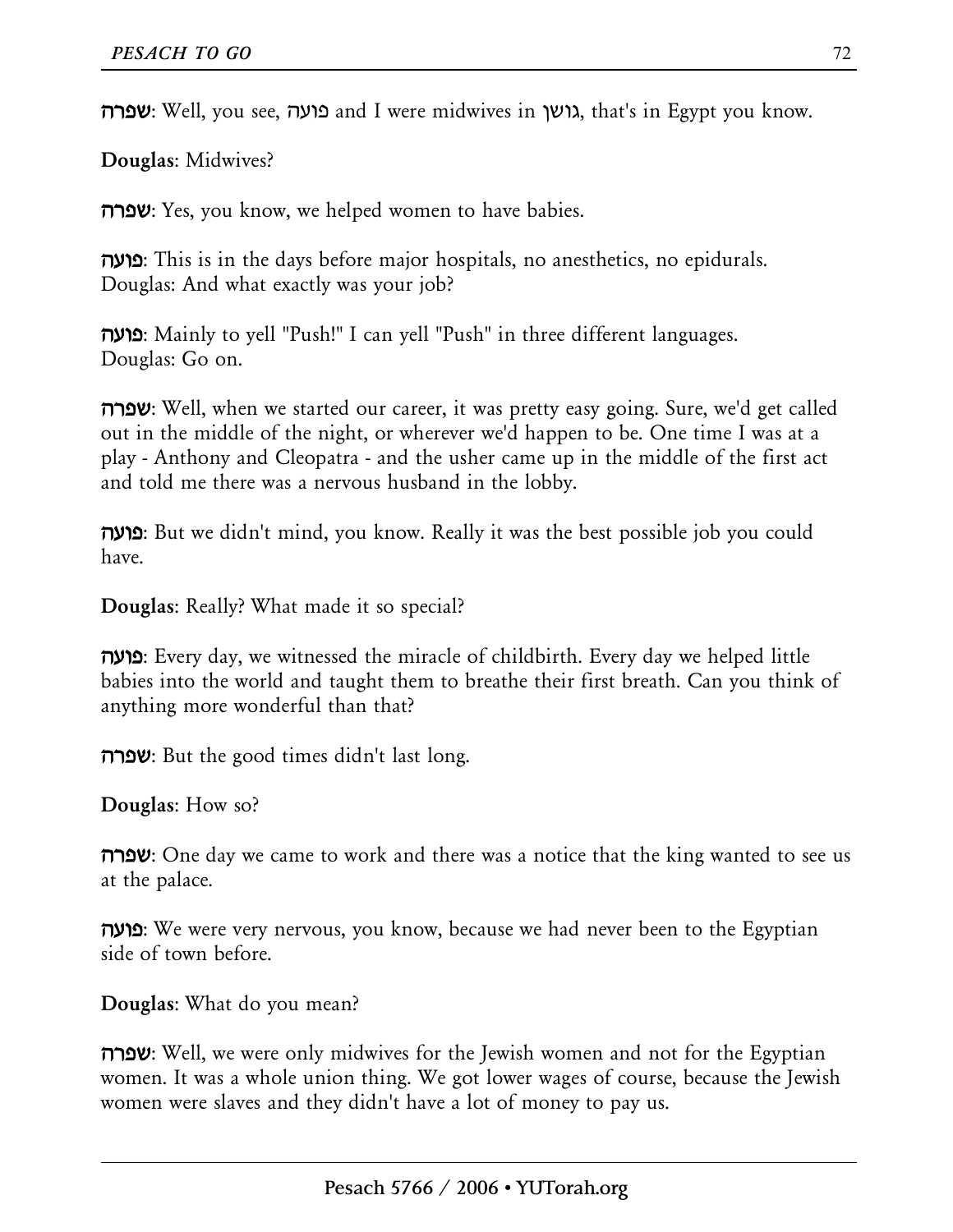**שפרה: Well,** you see, **בועה and I were midwives in גושן,** that's in Egypt you know.

**Douglas**: Midwives?

**שפרה**: Yes, you know, we helped women to have babies.

**פועה**: This is in the days before major hospitals, no anesthetics, no epidurals. Douglas: And what exactly was your job?

**פועה**: Mainly to yell "Push!" I can yell "Push" in three different languages. Douglas: Go on.

**שפרה:** Well, when we started our career, it was pretty easy going. Sure, we'd get called out in the middle of the night, or wherever we'd happen to be. One time I was at a play - Anthony and Cleopatra - and the usher came up in the middle of the first act and told me there was a nervous husband in the lobby.

**פועה**: But we didn't mind, you know. Really it was the best possible job you could have.

**Douglas**: Really? What made it so special?

**פועה**: Every day, we witnessed the miracle of childbirth. Every day we helped little babies into the world and taught them to breathe their first breath. Can you think of anything more wonderful than that?

**שפרה**: But the good times didn't last long.

**Douglas**: How so?

**שפרה:** One day we came to work and there was a notice that the king wanted to see us at the palace.

**פועה**: We were very nervous, you know, because we had never been to the Egyptian side of town before.

**Douglas**: What do you mean?

**שפרה:** Well, we were only midwives for the Jewish women and not for the Egyptian women. It was a whole union thing. We got lower wages of course, because the Jewish women were slaves and they didn't have a lot of money to pay us.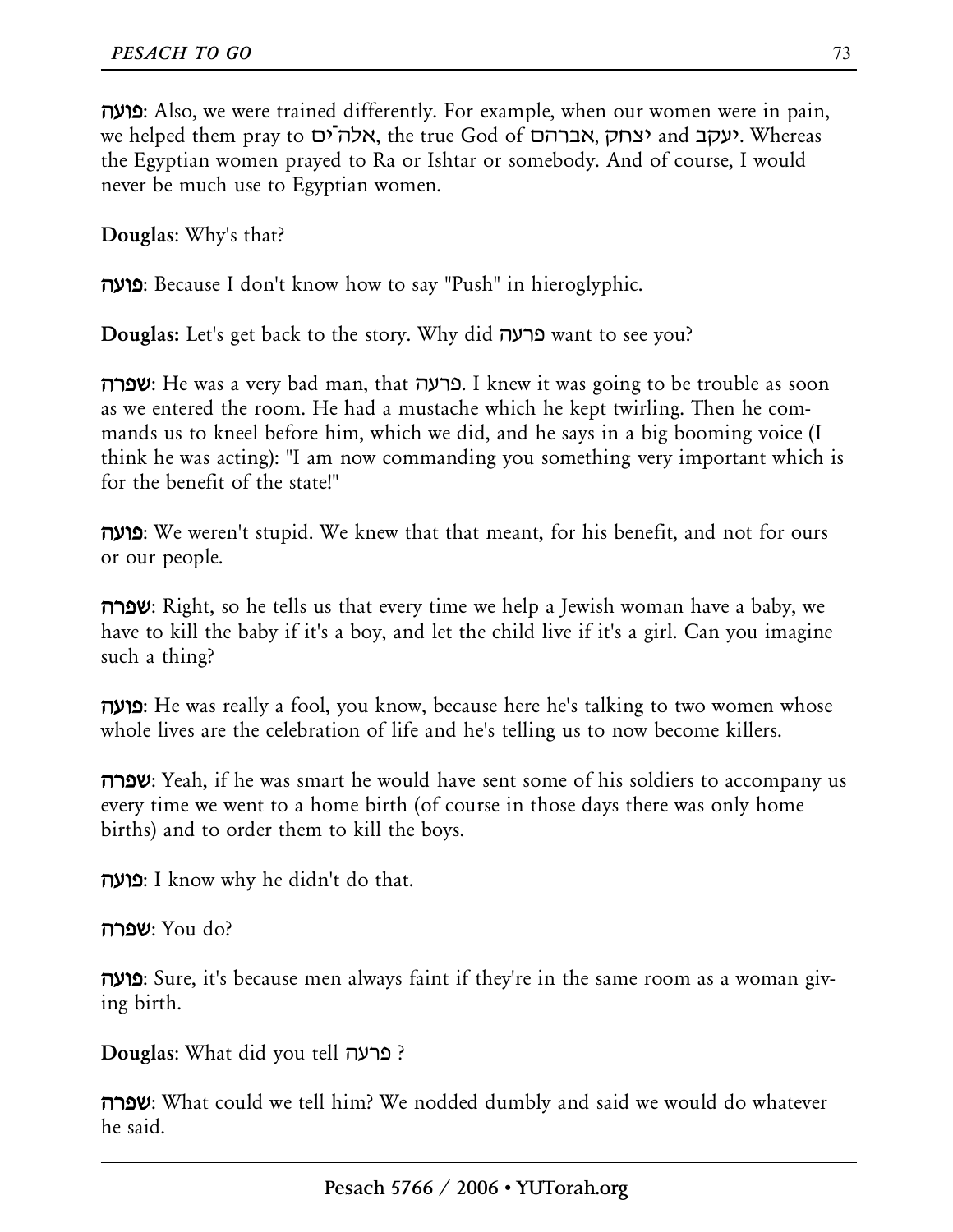**פועה**: Also, we were trained differently. For example, when our women were in pain, we helped them pray to אלה־ים, the true God of אברהם, יצחק and יעקב. Whereas the Egyptian women prayed to Ra or Ishtar or somebody. And of course, I would never be much use to Egyptian women.

**Douglas**: Why's that?

**פועה**: Because I don't know how to say "Push" in hieroglyphic.

**Douglas:** Let's get back to the story. Why did פרעה want to see you?

**שפרה**: He was a very bad man, that פרעה. I knew it was going to be trouble as soon as we entered the room. He had a mustache which he kept twirling. Then he commands us to kneel before him, which we did, and he says in a big booming voice (I think he was acting): "I am now commanding you something very important which is for the benefit of the state!"

**פועה**: We weren't stupid. We knew that that meant, for his benefit, and not for ours or our people.

**שפרה**: Right, so he tells us that every time we help a Jewish woman have a baby, we have to kill the baby if it's a boy, and let the child live if it's a girl. Can you imagine such a thing?

**פועה**: He was really a fool, you know, because here he's talking to two women whose whole lives are the celebration of life and he's telling us to now become killers.

**שפרה:** Yeah, if he was smart he would have sent some of his soldiers to accompany us every time we went to a home birth (of course in those days there was only home births) and to order them to kill the boys.

**פועה**: I know why he didn't do that.

**שפרה**: You do?

**פועה**: Sure, it's because men always faint if they're in the same room as a woman giving birth.

**Douglas**: What did you tell פרעה ?

**שפרה:** What could we tell him? We nodded dumbly and said we would do whatever he said.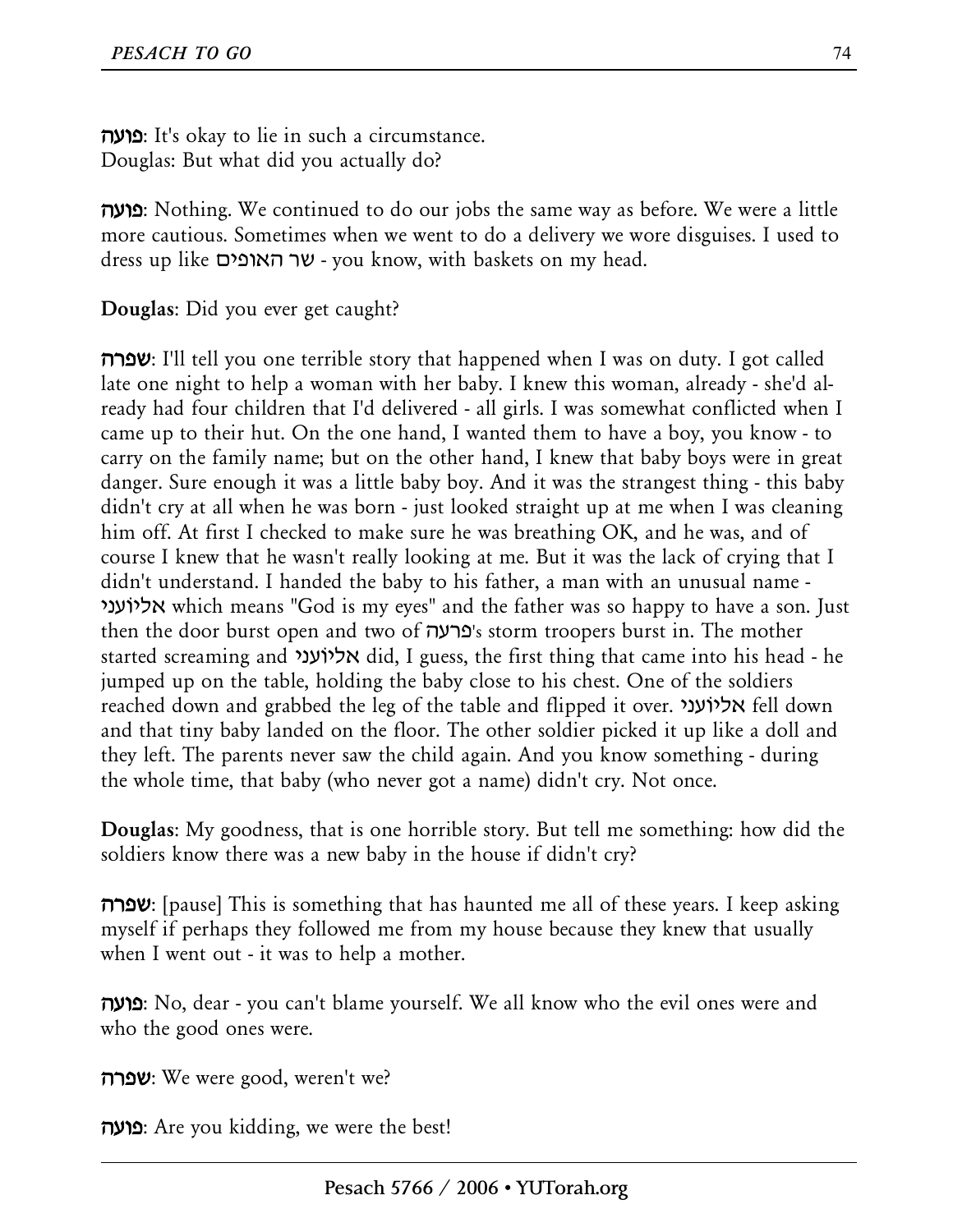**פועה**: It's okay to lie in such a circumstance. Douglas: But what did you actually do?

**פועה**: Nothing. We continued to do our jobs the same way as before. We were a little more cautious. Sometimes when we went to do a delivery we wore disguises. I used to dress up like האופים שר - you know, with baskets on my head.

**Douglas**: Did you ever get caught?

**שפרה:** I'll tell you one terrible story that happened when I was on duty. I got called late one night to help a woman with her baby. I knew this woman, already - she'd already had four children that I'd delivered - all girls. I was somewhat conflicted when I came up to their hut. On the one hand, I wanted them to have a boy, you know - to carry on the family name; but on the other hand, I knew that baby boys were in great danger. Sure enough it was a little baby boy. And it was the strangest thing - this baby didn't cry at all when he was born - just looked straight up at me when I was cleaning him off. At first I checked to make sure he was breathing OK, and he was, and of course I knew that he wasn't really looking at me. But it was the lack of crying that I didn't understand. I handed the baby to his father, a man with an unusual name - אליוֹעני which means "God is my eyes" and the father was so happy to have a son. Just then the door burst open and two of פרעה's storm troopers burst in. The mother started screaming and אליוֹעני did, I guess, the first thing that came into his head - he jumped up on the table, holding the baby close to his chest. One of the soldiers reached down and grabbed the leg of the table and flipped it over. אליוֹעני fell down and that tiny baby landed on the floor. The other soldier picked it up like a doll and they left. The parents never saw the child again. And you know something - during the whole time, that baby (who never got a name) didn't cry. Not once.

**Douglas**: My goodness, that is one horrible story. But tell me something: how did the soldiers know there was a new baby in the house if didn't cry?

**שפרה:** [pause] This is something that has haunted me all of these years. I keep asking myself if perhaps they followed me from my house because they knew that usually when I went out - it was to help a mother.

**פועה**: No, dear - you can't blame yourself. We all know who the evil ones were and who the good ones were.

**שפרה**: We were good, weren't we?

**פועה**: Are you kidding, we were the best!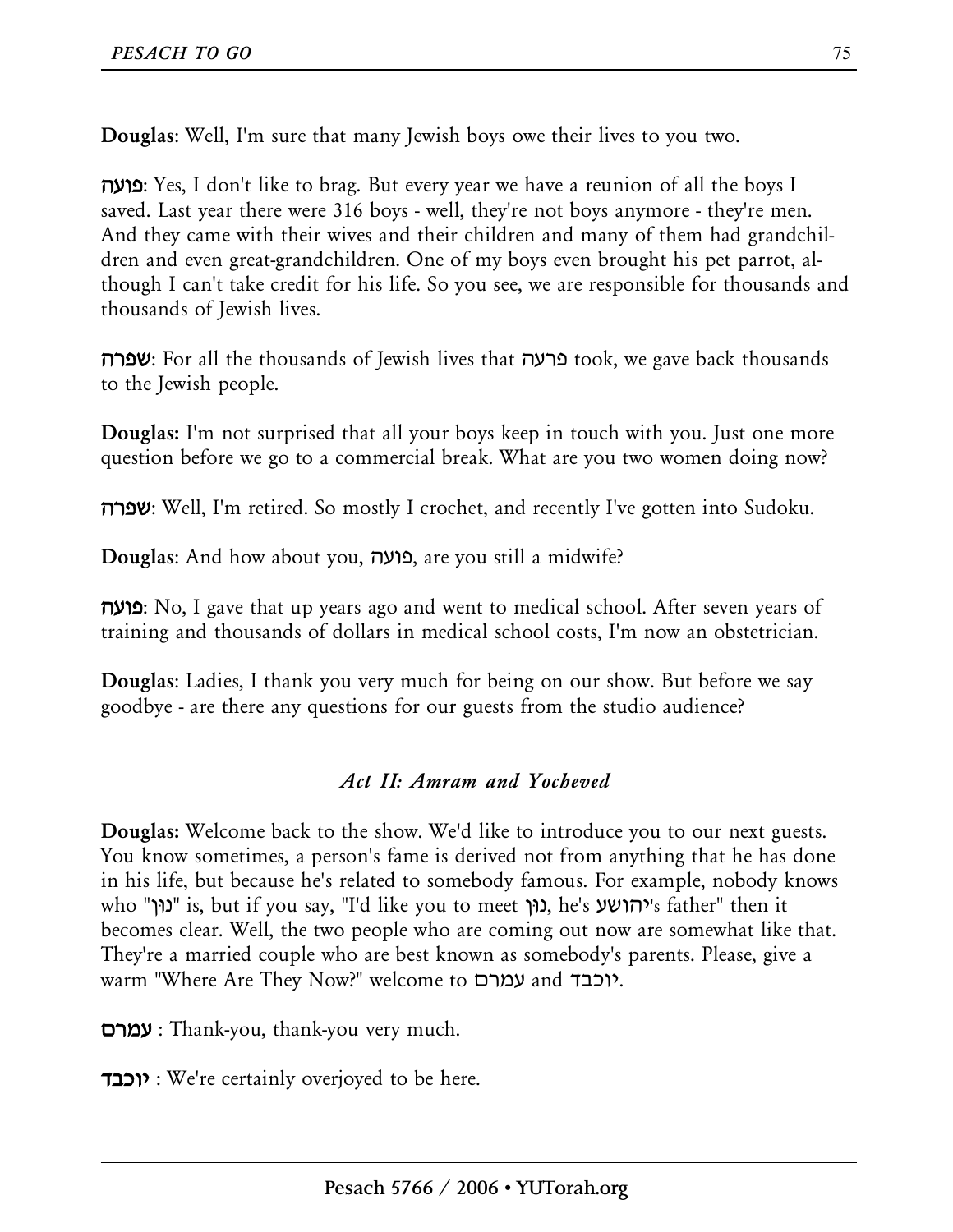**Douglas**: Well, I'm sure that many Jewish boys owe their lives to you two.

**פועה**: Yes, I don't like to brag. But every year we have a reunion of all the boys I saved. Last year there were 316 boys - well, they're not boys anymore - they're men. And they came with their wives and their children and many of them had grandchildren and even great-grandchildren. One of my boys even brought his pet parrot, although I can't take credit for his life. So you see, we are responsible for thousands and thousands of Jewish lives.

**שפרה**: For all the thousands of Jewish lives that פרעה took, we gave back thousands to the Jewish people.

**Douglas:** I'm not surprised that all your boys keep in touch with you. Just one more question before we go to a commercial break. What are you two women doing now?

**שפרה:** Well, I'm retired. So mostly I crochet, and recently I've gotten into Sudoku.

**Douglas**: And how about you, פועה, are you still a midwife?

**פועה**: No, I gave that up years ago and went to medical school. After seven years of training and thousands of dollars in medical school costs, I'm now an obstetrician.

**Douglas**: Ladies, I thank you very much for being on our show. But before we say goodbye - are there any questions for our guests from the studio audience?

#### *Act II: Amram and Yocheved*

**Douglas:** Welcome back to the show. We'd like to introduce you to our next guests. You know sometimes, a person's fame is derived not from anything that he has done in his life, but because he's related to somebody famous. For example, nobody knows who "נוּן "is, but if you say, "I'd like you to meet נוּן, he's יהושע's father" then it becomes clear. Well, the two people who are coming out now are somewhat like that. They're a married couple who are best known as somebody's parents. Please, give a warm "Where Are They Now?" welcome to עמרם and יוכבד.

**עמרם** : Thank-you, thank-you very much.

**יוכבד** : We're certainly overjoyed to be here.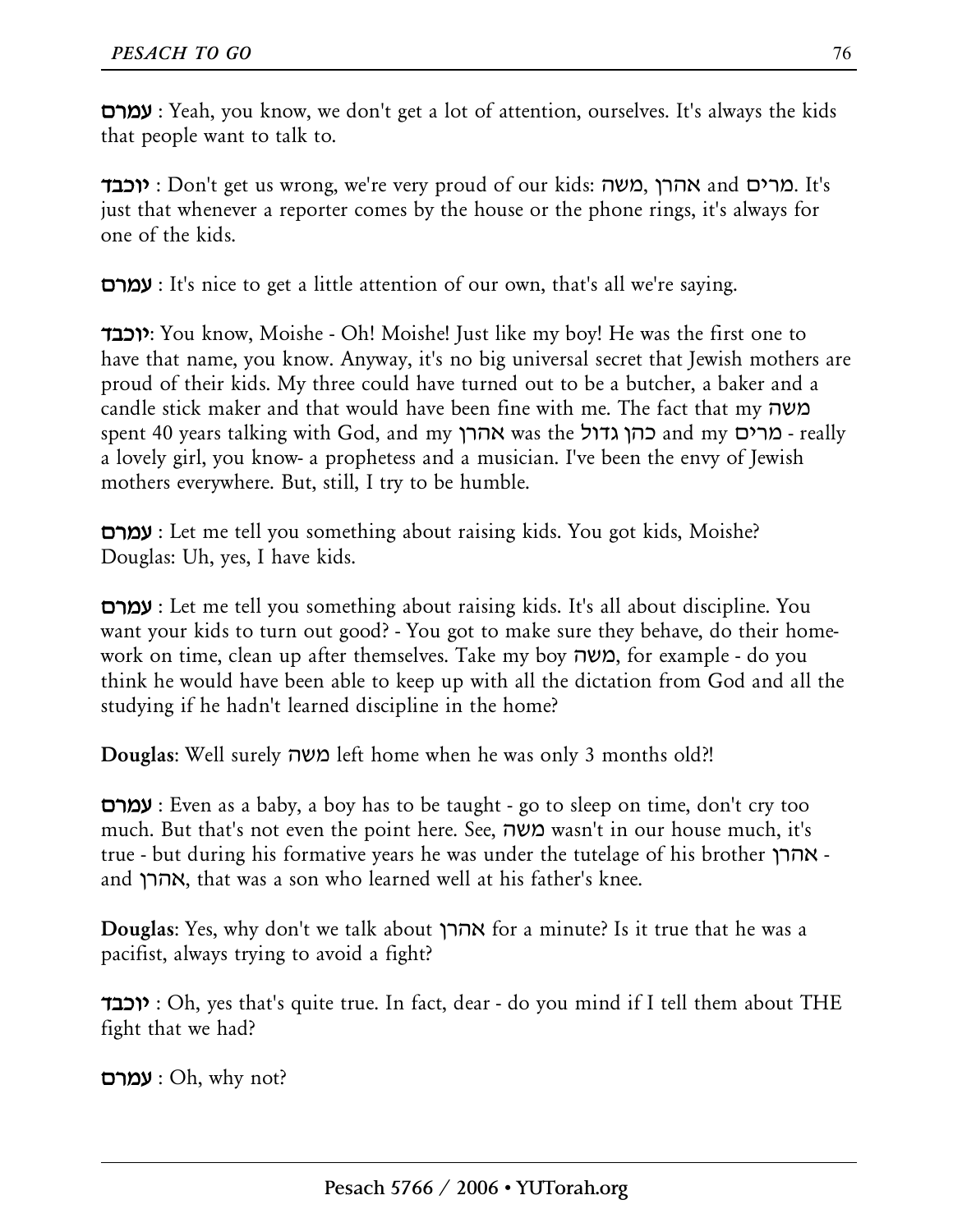**עמרם** : Yeah, you know, we don't get a lot of attention, ourselves. It's always the kids that people want to talk to.

**יוכבד** : Don't get us wrong, we're very proud of our kids: משה, אהרן and מרים. It's just that whenever a reporter comes by the house or the phone rings, it's always for one of the kids.

**עמרם** : It's nice to get a little attention of our own, that's all we're saying.

**יוכבד**: You know, Moishe - Oh! Moishe! Just like my boy! He was the first one to have that name, you know. Anyway, it's no big universal secret that Jewish mothers are proud of their kids. My three could have turned out to be a butcher, a baker and a candle stick maker and that would have been fine with me. The fact that my משה spent 40 years talking with God, and my אהרן was the גדול כהן and my מרים - really a lovely girl, you know- a prophetess and a musician. I've been the envy of Jewish mothers everywhere. But, still, I try to be humble.

**עמרם** : Let me tell you something about raising kids. You got kids, Moishe? Douglas: Uh, yes, I have kids.

**עמרם** : Let me tell you something about raising kids. It's all about discipline. You want your kids to turn out good? - You got to make sure they behave, do their homework on time, clean up after themselves. Take my boy משה, for example - do you think he would have been able to keep up with all the dictation from God and all the studying if he hadn't learned discipline in the home?

**Douglas**: Well surely משה left home when he was only 3 months old?!

**עמרם** : Even as a baby, a boy has to be taught - go to sleep on time, don't cry too much. But that's not even the point here. See, משה wasn't in our house much, it's true - but during his formative years he was under the tutelage of his brother אהרן and אהרן, that was a son who learned well at his father's knee.

**Douglas**: Yes, why don't we talk about אהרן for a minute? Is it true that he was a pacifist, always trying to avoid a fight?

**יוכבד** : Oh, yes that's quite true. In fact, dear - do you mind if I tell them about THE fight that we had?

**עמרם** : Oh, why not?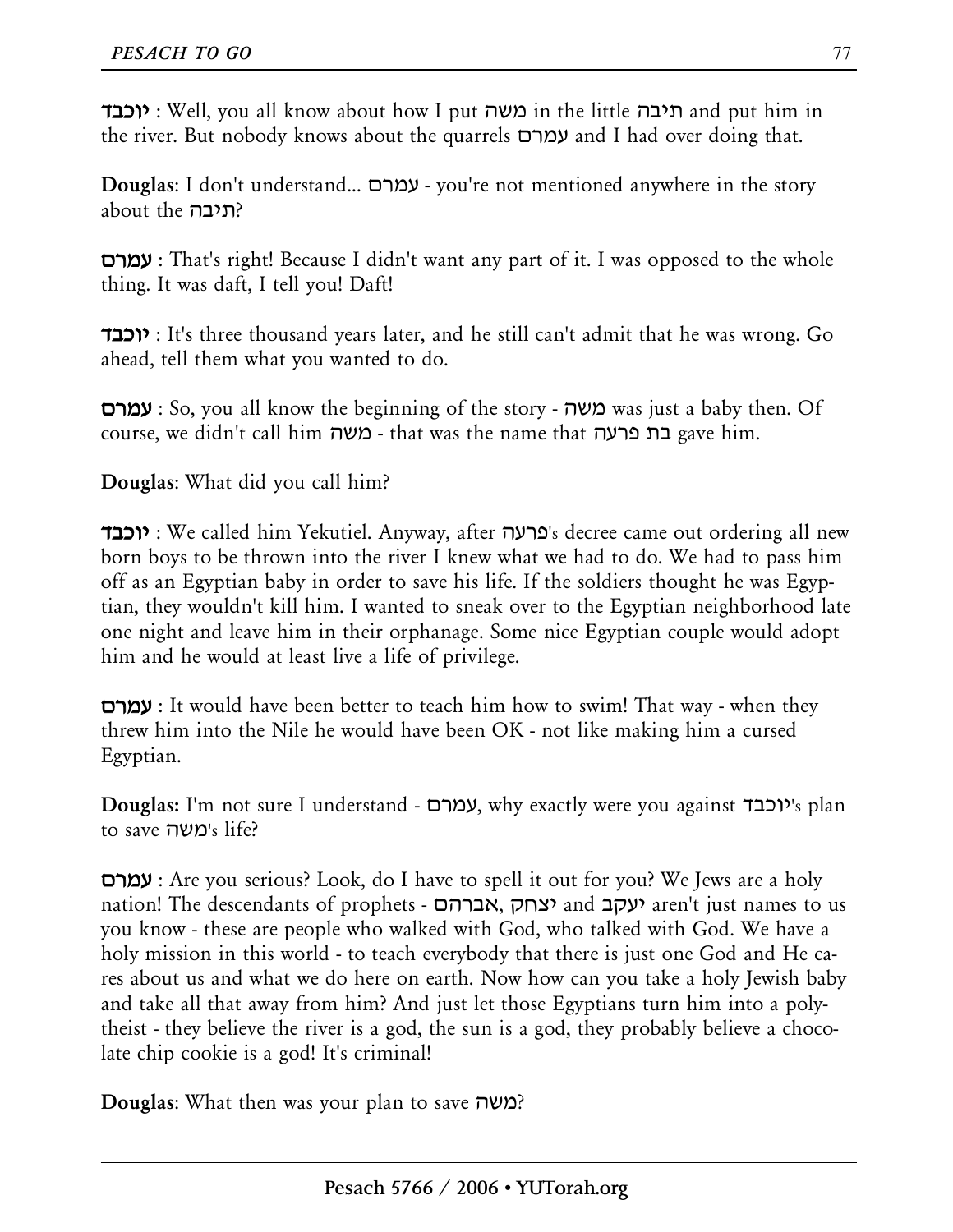**יוכבד** : Well, you all know about how I put משה in the little תיבה and put him in the river. But nobody knows about the quarrels עמרם and I had over doing that.

**Douglas**: I don't understand... עמרם - you're not mentioned anywhere in the story about the תיבה?

**עמרם** : That's right! Because I didn't want any part of it. I was opposed to the whole thing. It was daft, I tell you! Daft!

**יוכבד** : It's three thousand years later, and he still can't admit that he was wrong. Go ahead, tell them what you wanted to do.

**עמרם** : So, you all know the beginning of the story - משה was just a baby then. Of course, we didn't call him משה - that was the name that פרעה בת gave him.

**Douglas**: What did you call him?

**יוכבד** : We called him Yekutiel. Anyway, after פרעה's decree came out ordering all new born boys to be thrown into the river I knew what we had to do. We had to pass him off as an Egyptian baby in order to save his life. If the soldiers thought he was Egyptian, they wouldn't kill him. I wanted to sneak over to the Egyptian neighborhood late one night and leave him in their orphanage. Some nice Egyptian couple would adopt him and he would at least live a life of privilege.

**עמרם** : It would have been better to teach him how to swim! That way - when they threw him into the Nile he would have been OK - not like making him a cursed Egyptian.

**Douglas:** I'm not sure I understand - עמרם, why exactly were you against יוכבד's plan to save משה's life?

**עמרם** : Are you serious? Look, do I have to spell it out for you? We Jews are a holy nation! The descendants of prophets - אברהם, יצחק and יעקב aren't just names to us you know - these are people who walked with God, who talked with God. We have a holy mission in this world - to teach everybody that there is just one God and He cares about us and what we do here on earth. Now how can you take a holy Jewish baby and take all that away from him? And just let those Egyptians turn him into a polytheist - they believe the river is a god, the sun is a god, they probably believe a chocolate chip cookie is a god! It's criminal!

**Douglas**: What then was your plan to save משה ?